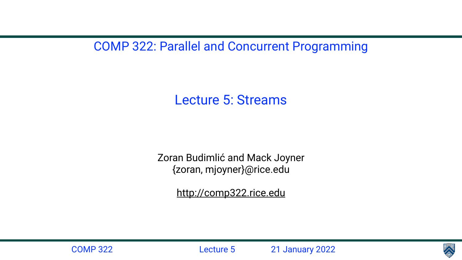### COMP 322: Parallel and Concurrent Programming





Lecture 5: Streams

- Zoran Budimlić and Mack Joyner {zoran, mjoyner}@rice.edu
	- <http://comp322.rice.edu>

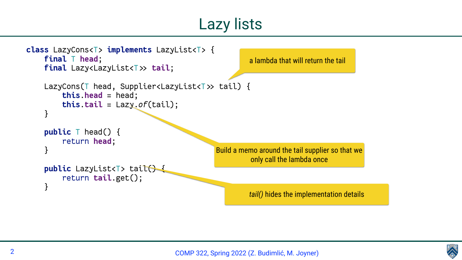



```
class LazyCons<T> implements LazyList<T> {
     final T head;
    final Lazy<LazyList<T>> tail;
    LazyCons(T head, Supplier<LazyList<T>>
tail) {
         this.head = head;
         this.tail = Lazy.of(tail);
 }
     public T head() {
         return head;
 }
     public LazyList<T> tail() {
         return tail.get();
 }
```
Build a memo around the tail supplier so that we only call the lambda once

a lambda that will return the tail

*tail()* hides the implementation details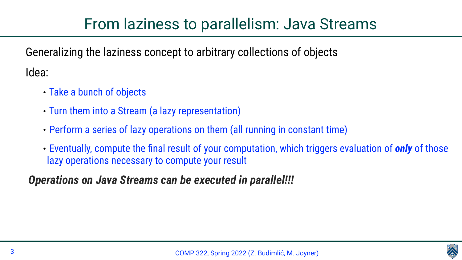## From laziness to parallelism: Java Streams





Generalizing the laziness concept to arbitrary collections of objects Idea:

- Take a bunch of objects
- Turn them into a Stream (a lazy representation)
- Perform a series of lazy operations on them (all running in constant time)
- Eventually, compute the final result of your computation, which triggers evaluation of *only* of those lazy operations necessary to compute your result

### *Operations on Java Streams can be executed in parallel!!!*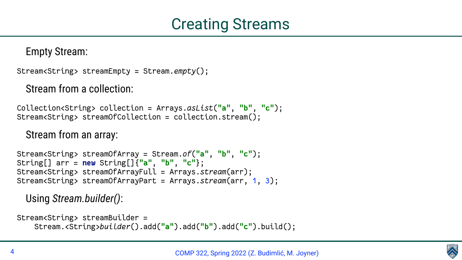

Empty Stream:

Stream<String> streamEmpty = Stream.*empty*();

### Stream from a collection:

Collection<String> collection = Arrays.*asList*(**"a"**, **"b"**, **"c"**); Stream<String> streamOfCollection = collection.stream();

#### Stream from an array:

Stream<String> streamOfArray = Stream.*of*(**"a"**, **"b"**, **"c"**); String[] arr = **new** String[]{**"a"**, **"b"**, **"c"**}; Stream<String> streamOfArrayFull = Arrays.*stream*(arr); Stream<String> streamOfArrayPart = Arrays.*stream*(arr, 1, 3);

#### Using *Stream.builder()*:

Stream<String> streamBuilder = Stream.<String>*builder*().add(**"a"**).add(**"b"**).add(**"c"**).build();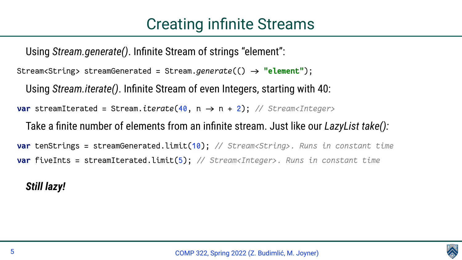

Using *Stream.generate()*. Infinite Stream of strings "element": Stream<String> streamGenerated = Stream.generate(()  $\rightarrow$  "element"); Using *Stream.iterate()*. Infinite Stream of even Integers, starting with 40: **var** streamIterated = Stream.*iterate*(40, n → n + 2); // Stream<Integer> Take a finite number of elements from an infinite stream. Just like our *LazyList take():* **var** tenStrings = streamGenerated.limit(10); */ Stream<String>. Runs in constant time* **var** fiveInts = streamIterated.limit(5); */ Stream<Integer>. Runs in constant time*

### *Still lazy!*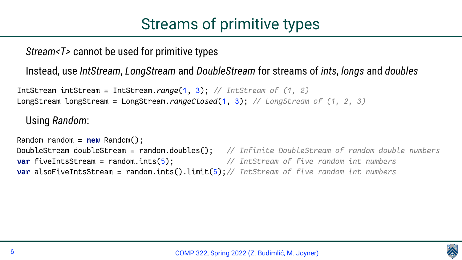

## Streams of primitive types

*Stream<T>* cannot be used for primitive types

#### Instead, use *IntStream*, *LongStream* and *DoubleStream* for streams of *ints*, *longs* and *doubles*

IntStream intStream = IntStream.*range*(1, 3); */ IntStream of (1, 2)* LongStream longStream = LongStream.*rangeClosed*(1, 3); */ LongStream of (1, 2, 3)*

#### Using *Random*:

Random random = **new** Random(); DoubleStream doubleStream = random.doubles(); */ Infinite DoubleStream of random double numbers* **var** fiveIntsStream = random.ints(5); */ IntStream of five random int numbers* **var** alsoFiveIntsStream = random.ints().limit(5); */ IntStream of five random int numbers*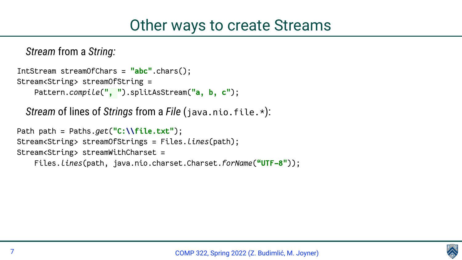

- 
- 
- 
- 

#### *Stream* from a *String:*

IntStream streamOfChars = **"abc"**.chars(); Stream<String> streamOfString = Pattern.*compile*(**" , "**).splitAsStream(**"a, b, c"**);

*Stream* of lines of *Strings* from a *File* (java.nio.file.\*):

Path path = Paths.*get*(**"C:\\file.txt"**); Stream<String> streamOfStrings = Files.*lines*(path); Stream<String> streamWithCharset = Files.*lines*(path, java.nio.charset.Charset.*forName*(**"UTF-8"**));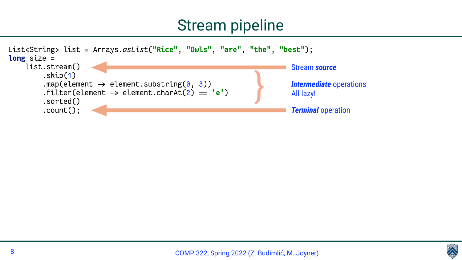

## Stream pipeline

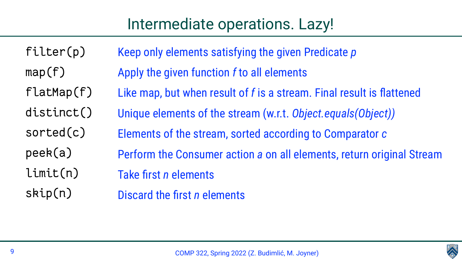



## Intermediate operations. Lazy!

filter(p) map(f) flatMap(f) distinct() sorted(c) peek(a) limit(n) skip(n)

- Keep only elements satisfying the given Predicate *p*
	-
- Like map, but when result of *f* is a stream. Final result is flattened
- Unique elements of the stream (w.r.t. *Object.equals(Object))*
- Elements of the stream, sorted according to Comparator *c*
- Perform the Consumer action *a* on all elements, return original Stream

Apply the given function *f* to all elements Take first *n* elements Discard the first *n* elements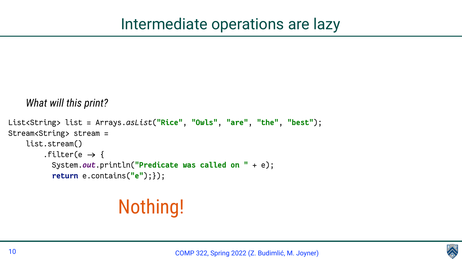

## Intermediate operations are lazy

#### *What will this print?*

```
List<String> list = Arrays.asList("Rice", "Owls", "are", "the", "best");
Stream<String> stream =
     list.stream()
        .filter(e \rightarrow {
           System.out.println("Predicate was called on " + e);
           return e.contains("e");});
```
## Nothing!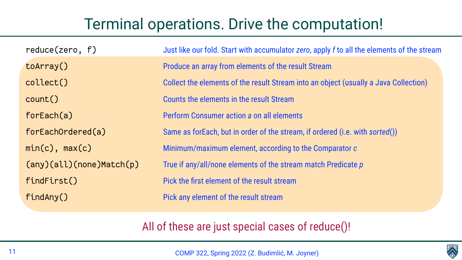### All of these are just special cases of reduce()!

| reduce(zero, f)          | Just like our fold         |
|--------------------------|----------------------------|
| toArray()                | <b>Produce an array</b>    |
| collect()                | <b>Collect the eleme</b>   |
| count()                  | <b>Counts the elem</b>     |
| forEach(a)               | <b>Perform Consum</b>      |
| forEachOrdered(a)        | Same as forEach            |
| $min(c)$ , $max(c)$      | Minimum/maxim              |
| (any)(all)(none)Match(p) | True if any/all/no         |
| findFirst()              | <b>Pick the first eler</b> |
| findAny()                | <b>Pick any element</b>    |

COMP 322, Spring 2022 (Z. Budimlić, M. Joyner)





## Terminal operations. Drive the computation!

- l. Start with accumulator *zero*, apply *f* to all the elements of the stream
- from elements of the result Stream
- ents of the result Stream into an object (usually a Java Collection)
- ents in the result Stream
- **ner action a on all elements**
- , but in order of the stream, if ordered (i.e. with *sorted*())
- num element, according to the Comparator *c*
- one elements of the stream match Predicate *p*
- ment of the result stream
- t of the result stream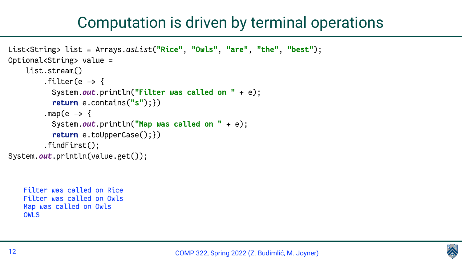

## Computation is driven by terminal operations

```
Filter was called on Rice
Filter was called on Owls
Map was called on Owls
OWLS
```

```
List<String> list = Arrays.asList("Rice", "Owls", "are", "the", "best");
Optional<String> value =
     list.stream()
        .filter(e \rightarrow {
           System.out.println("Filter was called on " + e);
           return e.contains("s");})
         .map(e \rightarrow {
           System.out.println("Map was called on " + e);
           return e.toUpperCase();})
          .findFirst();
System.out.println(value.get());
```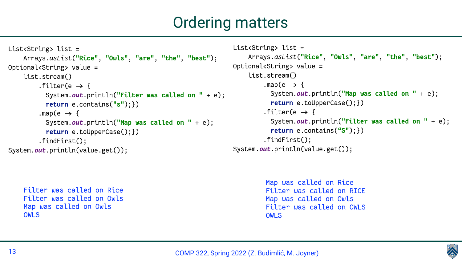





## Ordering matters

```
Filter was called on Rice
Filter was called on Owls
Map was called on Owls
OWLS
```

```
List<String> list = 
     Arrays.asList("Rice", "Owls", "are", "the", "best");
Optional<String> value =
     list.stream()
         .filter(e \rightarrow {
           System.out.println("Filter was called on " + e);
            return e.contains("s");})
         .map(e \rightarrow {
           System.out.println("Map was called on " + e);
            return e.toUpperCase();})
          .findFirst();
System.out.println(value.get());
```

```
List<String> list = 
     Arrays.asList("Rice", "Owls", "are", "the", "best");
Optional<String> value =
     list.stream()
         .map(e \rightarrow {
           System.out.println("Map was called on " + e);
            return e.toUpperCase();})
         .filter(e \rightarrow {
           System.out.println("Filter was called on " + e);
            return e.contains("S");})
          .findFirst();
System.out.println(value.get());
```

```
Map was called on Rice
Filter was called on RICE
Map was called on Owls
Filter was called on OWLS
OWLS
```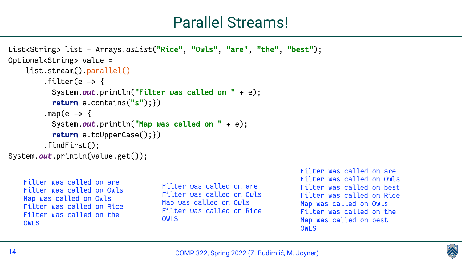

## Parallel Streams!

```
Filter was called on are
Filter was called on Owls
Map was called on Owls
Filter was called on Rice
Filter was called on the
OWLS
```

```
List<String> list = Arrays.asList("Rice", "Owls", "are", "the", "best");
Optional<String> value =
     list.stream().parallel()
        .filter(e \rightarrow {
           System.out.println("Filter was called on " + e);
            return e.contains("s");})
         .map(e \rightarrow {
           System.out.println("Map was called on " + e);
            return e.toUpperCase();})
          .findFirst();
System.out.println(value.get());
```
Filter was called on are Filter was called on Owls Map was called on Owls Filter was called on Rice OWLS

Filter was called on are Filter was called on Owls Filter was called on best Filter was called on Rice Map was called on Owls Filter was called on the Map was called on best OWLS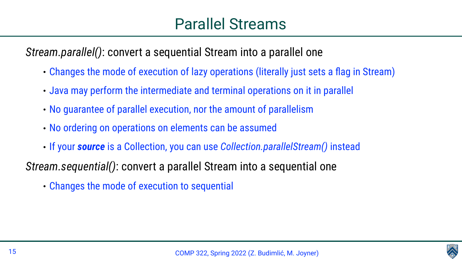

*Stream.parallel()*: convert a sequential Stream into a parallel one

- Changes the mode of execution of lazy operations (literally just sets a flag in Stream)
- Java may perform the intermediate and terminal operations on it in parallel
- No guarantee of parallel execution, nor the amount of parallelism
- No ordering on operations on elements can be assumed
- If your *source* is a Collection, you can use *Collection.parallelStream()* instead
- *Stream.sequential()*: convert a parallel Stream into a sequential one
	- Changes the mode of execution to sequential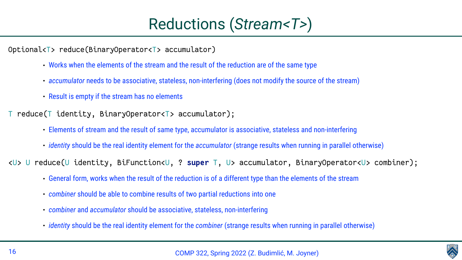

## Reductions (*Stream<T>*)

Optional<T> reduce(BinaryOperator<T> accumulator)

- Works when the elements of the stream and the result of the reduction are of the same type
- *accumulator* needs to be associative, stateless, non-interfering (does not modify the source of the stream)
- Result is empty if the stream has no elements

reduce(T identity, BinaryOperator<T> accumulator);

- Elements of stream and the result of same type, accumulator is associative, stateless and non-interfering
- *identity* should be the real identity element for the *accumulator* (strange results when running in parallel otherwise)

<U> U reduce(U identity, BiFunction<U, ? **super** T, U> accumulator, BinaryOperator<U> combiner);

- General form, works when the result of the reduction is of a different type than the elements of the stream
- *combiner* should be able to combine results of two partial reductions into one
- *combiner* and *accumulator* should be associative, stateless, non-interfering
- *identity* should be the real identity element for the *combiner* (strange results when running in parallel otherwise)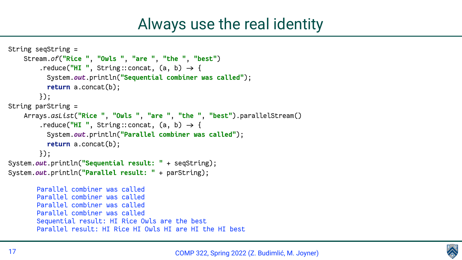

## Always use the real identity

```
String seqString =
     Stream.of("Rice ", "Owls ", "are ", "the ", "best")
        .reduce("HI ", String::concat, (a, b) \rightarrow \{ System.out.println("Sequential combiner was called");
           return a.concat(b);
         });
String parString =
     Arrays.asList("Rice ", "Owls ", "are ", "the ", "best").parallelStream()
        .reduce("HI", String::concat, (a, b) \rightarrow \{ System.out.println("Parallel combiner was called");
           return a.concat(b);
         });
System.out.println("Sequential result: " + seqString);
System.out.println("Parallel result: " + parString);
       Parallel combiner was called
       Parallel combiner was called
       Parallel combiner was called
       Parallel combiner was called
       Sequential result: HI Rice Owls are the best
       Parallel result: HI Rice HI Owls HI are HI the HI best
```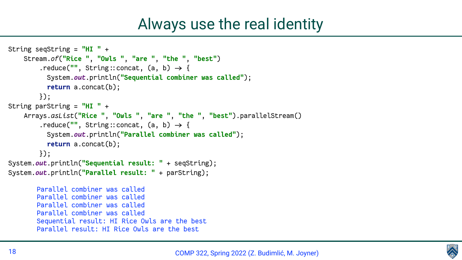

## Always use the real identity

```
String seqString = "HI " +
     Stream.of("Rice ", "Owls ", "are ", "the ", "best")
        .reduce('''', String::concat, (a, b) \rightarrow \{ System.out.println("Sequential combiner was called");
           return a.concat(b);
         });
String parString = "HI " +
     Arrays.asList("Rice ", "Owls ", "are ", "the ", "best").parallelStream()
        .reduce(", String::concat, (a, b) \rightarrow \{ System.out.println("Parallel combiner was called");
           return a.concat(b);
         });
System.out.println("Sequential result: " + seqString);
System.out.println("Parallel result: " + parString);
       Parallel combiner was called
       Parallel combiner was called
       Parallel combiner was called
       Parallel combiner was called
       Sequential result: HI Rice Owls are the best
       Parallel result: HI Rice Owls are the best
```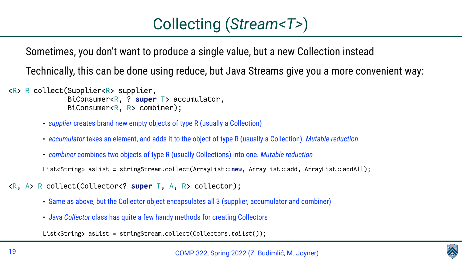

## Collecting (*Stream<T>*)

# Sometimes, you don't want to produce a single value, but a new Collection instead

- 
- Technically, this can be done using reduce, but Java Streams give you a more convenient way:

<R> R collect(Supplier<R> supplier, BiConsumer<R, ? **super** T> accumulator, BiConsumer<R, R> combiner);

- *supplier* creates brand new empty objects of type R (usually a Collection)
- *accumulator* takes an element, and adds it to the object of type R (usually a Collection). *Mutable reduction*
- *combiner* combines two objects of type R (usually Collections) into one. *Mutable reduction*

List<String> asList = stringStream.collect(ArrayList::new, ArrayList::add, ArrayList::addAll);

- <R, A> R collect(Collector<? **super** T, A, R> collector);
	- Same as above, but the Collector object encapsulates all 3 (supplier, accumulator and combiner)
	- Java *Collector* class has quite a few handy methods for creating Collectors

List<String> asList = stringStream.collect(Collectors.*toList*());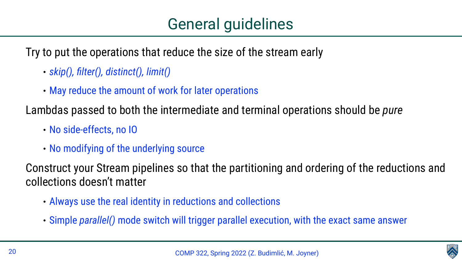



Try to put the operations that reduce the size of the stream early

- *skip(), filter(), distinct(), limit()*
- May reduce the amount of work for later operations

Lambdas passed to both the intermediate and terminal operations should be *pure*

- No side-effects, no IO
- No modifying of the underlying source

Construct your Stream pipelines so that the partitioning and ordering of the reductions and

collections doesn't matter

- Always use the real identity in reductions and collections
- Simple *parallel()* mode switch will trigger parallel execution, with the exact same answer